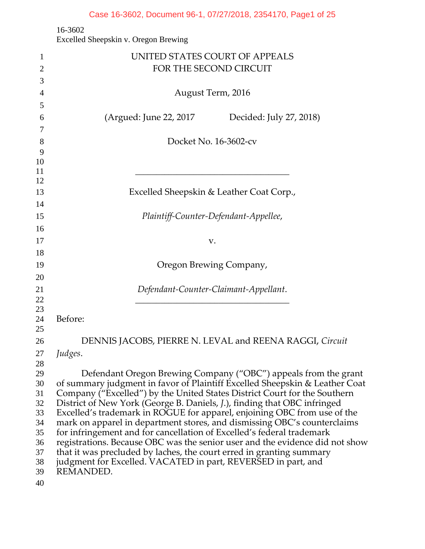# Case 16-3602, Document 96-1, 07/27/2018, 2354170, Page1 of 25

16-3602

Excelled Sheepskin v. Oregon Brewing

| 1              | UNITED STATES COURT OF APPEALS                                               |  |
|----------------|------------------------------------------------------------------------------|--|
| $\overline{2}$ | FOR THE SECOND CIRCUIT                                                       |  |
| 3              |                                                                              |  |
| $\overline{4}$ | August Term, 2016                                                            |  |
| 5              |                                                                              |  |
| 6              | (Argued: June 22, 2017<br>Decided: July 27, 2018)                            |  |
| 7              |                                                                              |  |
| 8              | Docket No. 16-3602-cv                                                        |  |
| 9              |                                                                              |  |
| 10             |                                                                              |  |
| 11             |                                                                              |  |
| 12             |                                                                              |  |
| 13             | Excelled Sheepskin & Leather Coat Corp.,                                     |  |
| 14             |                                                                              |  |
| 15             | Plaintiff-Counter-Defendant-Appellee,                                        |  |
| 16             |                                                                              |  |
| 17             | V.                                                                           |  |
| 18             |                                                                              |  |
| 19             | Oregon Brewing Company,                                                      |  |
| 20             |                                                                              |  |
| 21             | Defendant-Counter-Claimant-Appellant.                                        |  |
| 22             |                                                                              |  |
| 23<br>24       | Before:                                                                      |  |
| 25             |                                                                              |  |
| 26             | DENNIS JACOBS, PIERRE N. LEVAL and REENA RAGGI, Circuit                      |  |
| 27             | Judges.                                                                      |  |
| 28             |                                                                              |  |
| 29             | Defendant Oregon Brewing Company ("OBC") appeals from the grant              |  |
| 30             | of summary judgment in favor of Plaintiff Excelled Sheepskin & Leather Coat  |  |
| 31             | Company ("Excelled") by the United States District Court for the Southern    |  |
| 32             | District of New York (George B. Daniels, J.), finding that OBC infringed     |  |
| 33             | Excelled's trademark in ROGUE for apparel, enjoining OBC from use of the     |  |
| 34             | mark on apparel in department stores, and dismissing OBC's counterclaims     |  |
| 35             | for infringement and for cancellation of Excelled's federal trademark        |  |
| 36             | registrations. Because OBC was the senior user and the evidence did not show |  |
| 37             | that it was precluded by laches, the court erred in granting summary         |  |
| 38             | judgment for Excelled. VACATED in part, REVERSED in part, and                |  |
| 39             | REMANDED.                                                                    |  |
| 40             |                                                                              |  |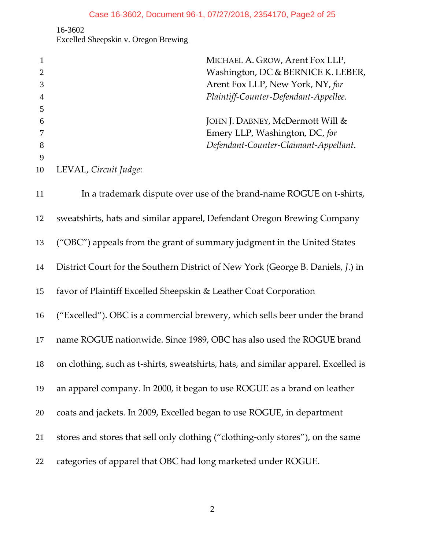16-3602 Excelled Sheepskin v. Oregon Brewing

|    |                       | MICHAEL A. GROW, Arent Fox LLP,                                       |
|----|-----------------------|-----------------------------------------------------------------------|
|    |                       | Washington, DC & BERNICE K. LEBER,                                    |
|    |                       | Arent Fox LLP, New York, NY, for                                      |
| 4  |                       | Plaintiff-Counter-Defendant-Appellee.                                 |
|    |                       |                                                                       |
| 6  |                       | JOHN J. DABNEY, McDermott Will &                                      |
|    |                       | Emery LLP, Washington, DC, for                                        |
| 8  |                       | Defendant-Counter-Claimant-Appellant.                                 |
| 9  |                       |                                                                       |
| 10 | LEVAL, Circuit Judge: |                                                                       |
|    |                       |                                                                       |
| 11 |                       | In a trademark dispute over use of the brand-name ROCI IF on t-shirts |

In a trademark dispute over use of the brand‐name ROGUE on t‐shirts, sweatshirts, hats and similar apparel, Defendant Oregon Brewing Company ("OBC") appeals from the grant of summary judgment in the United States District Court for the Southern District of New York (George B. Daniels, *J*.) in favor of Plaintiff Excelled Sheepskin & Leather Coat Corporation ("Excelled"). OBC is a commercial brewery, which sells beer under the brand name ROGUE nationwide. Since 1989, OBC has also used the ROGUE brand 18 on clothing, such as t-shirts, sweatshirts, hats, and similar apparel. Excelled is an apparel company. In 2000, it began to use ROGUE as a brand on leather coats and jackets. In 2009, Excelled began to use ROGUE, in department stores and stores that sell only clothing ("clothing‐only stores"), on the same categories of apparel that OBC had long marketed under ROGUE.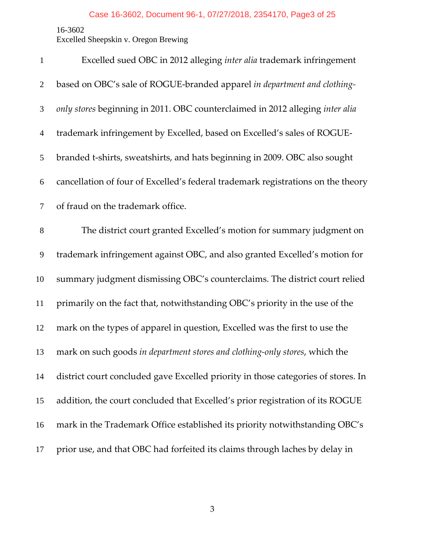Excelled Sheepskin v. Oregon Brewing

| $\mathbf{1}$   | Excelled sued OBC in 2012 alleging inter alia trademark infringement              |
|----------------|-----------------------------------------------------------------------------------|
| $\overline{2}$ | based on OBC's sale of ROGUE-branded apparel in department and clothing-          |
| 3              | only stores beginning in 2011. OBC counterclaimed in 2012 alleging inter alia     |
| $\overline{4}$ | trademark infringement by Excelled, based on Excelled's sales of ROGUE-           |
| 5              | branded t-shirts, sweatshirts, and hats beginning in 2009. OBC also sought        |
| 6              | cancellation of four of Excelled's federal trademark registrations on the theory  |
| 7              | of fraud on the trademark office.                                                 |
| $8\,$          | The district court granted Excelled's motion for summary judgment on              |
| 9              | trademark infringement against OBC, and also granted Excelled's motion for        |
| 10             | summary judgment dismissing OBC's counterclaims. The district court relied        |
| 11             | primarily on the fact that, notwithstanding OBC's priority in the use of the      |
| 12             | mark on the types of apparel in question, Excelled was the first to use the       |
| 13             | mark on such goods in department stores and clothing-only stores, which the       |
| 14             | district court concluded gave Excelled priority in those categories of stores. In |
| 15             | addition, the court concluded that Excelled's prior registration of its ROGUE     |
| 16             | mark in the Trademark Office established its priority notwithstanding OBC's       |
| 17             | prior use, and that OBC had forfeited its claims through laches by delay in       |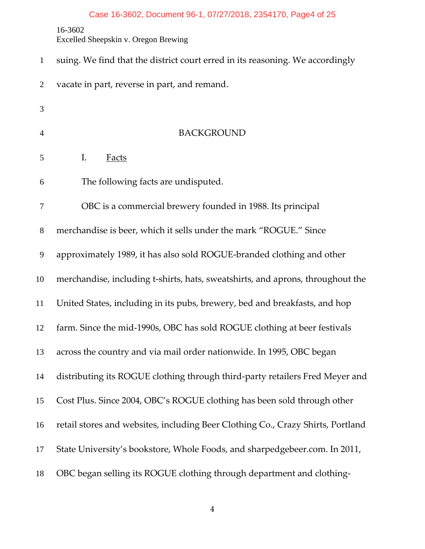# Case 16-3602, Document 96-1, 07/27/2018, 2354170, Page4 of 25

16-3602

Excelled Sheepskin v. Oregon Brewing

| $\mathbf{1}$   | suing. We find that the district court erred in its reasoning. We accordingly   |
|----------------|---------------------------------------------------------------------------------|
| $\overline{2}$ | vacate in part, reverse in part, and remand.                                    |
| 3              |                                                                                 |
| $\overline{4}$ | <b>BACKGROUND</b>                                                               |
| 5              | I.<br><b>Facts</b>                                                              |
| 6              | The following facts are undisputed.                                             |
| 7              | OBC is a commercial brewery founded in 1988. Its principal                      |
| 8              | merchandise is beer, which it sells under the mark "ROGUE." Since               |
| 9              | approximately 1989, it has also sold ROGUE-branded clothing and other           |
| 10             | merchandise, including t-shirts, hats, sweatshirts, and aprons, throughout the  |
| 11             | United States, including in its pubs, brewery, bed and breakfasts, and hop      |
| 12             | farm. Since the mid-1990s, OBC has sold ROGUE clothing at beer festivals        |
| 13             | across the country and via mail order nationwide. In 1995, OBC began            |
| 14             | distributing its ROGUE clothing through third-party retailers Fred Meyer and    |
| 15             | Cost Plus. Since 2004, OBC's ROGUE clothing has been sold through other         |
| 16             | retail stores and websites, including Beer Clothing Co., Crazy Shirts, Portland |
| 17             | State University's bookstore, Whole Foods, and sharpedgebeer.com. In 2011,      |
| 18             | OBC began selling its ROGUE clothing through department and clothing-           |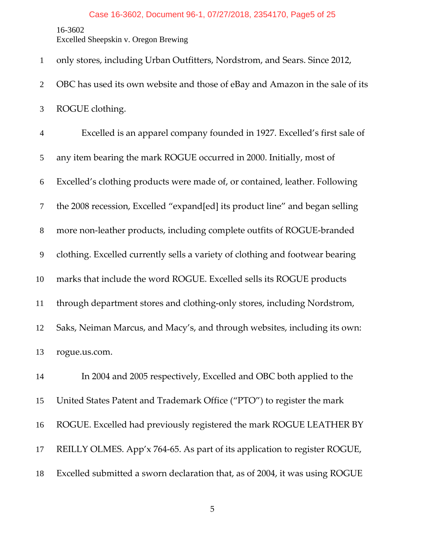#### Case 16-3602, Document 96-1, 07/27/2018, 2354170, Page5 of 25

16-3602

Excelled Sheepskin v. Oregon Brewing

only stores, including Urban Outfitters, Nordstrom, and Sears. Since 2012, OBC has used its own website and those of eBay and Amazon in the sale of its ROGUE clothing. Excelled is an apparel company founded in 1927. Excelled's first sale of any item bearing the mark ROGUE occurred in 2000. Initially, most of Excelled's clothing products were made of, or contained, leather. Following the 2008 recession, Excelled "expand[ed] its product line" and began selling more non‐leather products, including complete outfits of ROGUE‐branded clothing. Excelled currently sells a variety of clothing and footwear bearing marks that include the word ROGUE. Excelled sells its ROGUE products through department stores and clothing‐only stores, including Nordstrom, Saks, Neiman Marcus, and Macy's, and through websites, including its own: rogue.us.com. In 2004 and 2005 respectively, Excelled and OBC both applied to the United States Patent and Trademark Office ("PTO") to register the mark ROGUE. Excelled had previously registered the mark ROGUE LEATHER BY REILLY OLMES. App'x 764‐65. As part of its application to register ROGUE, Excelled submitted a sworn declaration that, as of 2004, it was using ROGUE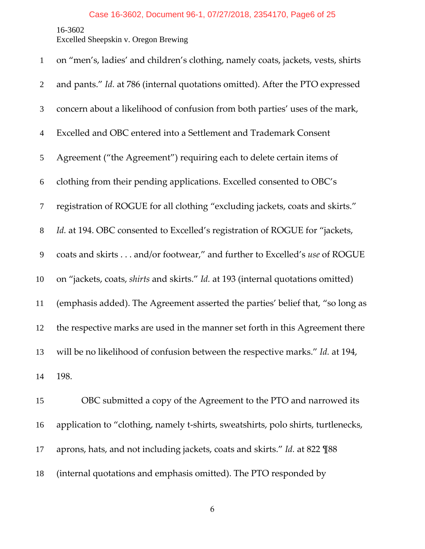Excelled Sheepskin v. Oregon Brewing

| $\mathbf{1}$   | on "men's, ladies' and children's clothing, namely coats, jackets, vests, shirts  |
|----------------|-----------------------------------------------------------------------------------|
| $\overline{2}$ | and pants." Id. at 786 (internal quotations omitted). After the PTO expressed     |
| 3              | concern about a likelihood of confusion from both parties' uses of the mark,      |
| $\overline{4}$ | Excelled and OBC entered into a Settlement and Trademark Consent                  |
| 5              | Agreement ("the Agreement") requiring each to delete certain items of             |
| 6              | clothing from their pending applications. Excelled consented to OBC's             |
| $\tau$         | registration of ROGUE for all clothing "excluding jackets, coats and skirts."     |
| $8\,$          | Id. at 194. OBC consented to Excelled's registration of ROGUE for "jackets,       |
| $\mathbf{9}$   | coats and skirts and/or footwear," and further to Excelled's use of ROGUE         |
| 10             | on "jackets, coats, shirts and skirts." Id. at 193 (internal quotations omitted)  |
| 11             | (emphasis added). The Agreement asserted the parties' belief that, "so long as    |
| 12             | the respective marks are used in the manner set forth in this Agreement there     |
| 13             | will be no likelihood of confusion between the respective marks." Id. at 194,     |
| 14             | 198.                                                                              |
| 15             | OBC submitted a copy of the Agreement to the PTO and narrowed its                 |
| 16             | application to "clothing, namely t-shirts, sweatshirts, polo shirts, turtlenecks, |
| 17             | aprons, hats, and not including jackets, coats and skirts." Id. at 822 \left 88   |
| 18             | (internal quotations and emphasis omitted). The PTO responded by                  |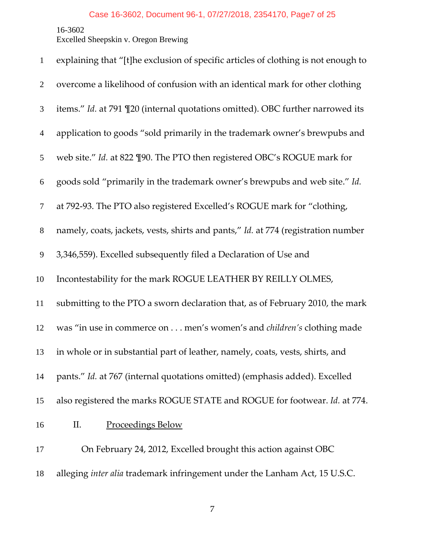Excelled Sheepskin v. Oregon Brewing

| $\mathbf{1}$   | explaining that "[t]he exclusion of specific articles of clothing is not enough to |
|----------------|------------------------------------------------------------------------------------|
| $\overline{2}$ | overcome a likelihood of confusion with an identical mark for other clothing       |
| 3              | items." Id. at 791 \leq 20 (internal quotations omitted). OBC further narrowed its |
| $\overline{4}$ | application to goods "sold primarily in the trademark owner's brewpubs and         |
| 5              | web site." Id. at 822 [90. The PTO then registered OBC's ROGUE mark for            |
| 6              | goods sold "primarily in the trademark owner's brewpubs and web site." Id.         |
| $\tau$         | at 792-93. The PTO also registered Excelled's ROGUE mark for "clothing,            |
| $8\phantom{.}$ | namely, coats, jackets, vests, shirts and pants," Id. at 774 (registration number  |
| 9              | 3,346,559). Excelled subsequently filed a Declaration of Use and                   |
| 10             | Incontestability for the mark ROGUE LEATHER BY REILLY OLMES,                       |
| 11             | submitting to the PTO a sworn declaration that, as of February 2010, the mark      |
| 12             | was "in use in commerce on men's women's and <i>children's</i> clothing made       |
| 13             | in whole or in substantial part of leather, namely, coats, vests, shirts, and      |
| 14             | pants." Id. at 767 (internal quotations omitted) (emphasis added). Excelled        |
| 15             | also registered the marks ROGUE STATE and ROGUE for footwear. Id. at 774.          |
| 16             | Proceedings Below<br>П.                                                            |
| 17             | On February 24, 2012, Excelled brought this action against OBC                     |
| 18             | alleging inter alia trademark infringement under the Lanham Act, 15 U.S.C.         |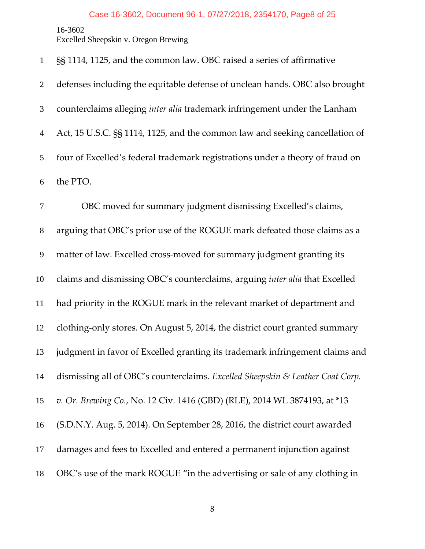#### Case 16-3602, Document 96-1, 07/27/2018, 2354170, Page8 of 25

16-3602

Excelled Sheepskin v. Oregon Brewing

§§ 1114, 1125, and the common law. OBC raised a series of affirmative defenses including the equitable defense of unclean hands. OBC also brought counterclaims alleging *inter alia* trademark infringement under the Lanham Act, 15 U.S.C. §§ 1114, 1125, and the common law and seeking cancellation of four of Excelled's federal trademark registrations under a theory of fraud on the PTO.

OBC moved for summary judgment dismissing Excelled's claims, arguing that OBC's prior use of the ROGUE mark defeated those claims as a matter of law. Excelled cross‐moved for summary judgment granting its claims and dismissing OBC's counterclaims, arguing *inter alia* that Excelled had priority in the ROGUE mark in the relevant market of department and clothing‐only stores. On August 5, 2014, the district court granted summary judgment in favor of Excelled granting its trademark infringement claims and dismissing all of OBC's counterclaims. *Excelled Sheepskin & Leather Coat Corp. v. Or. Brewing Co.*, No. 12 Civ. 1416 (GBD) (RLE), 2014 WL 3874193, at \*13 (S.D.N.Y. Aug. 5, 2014). On September 28, 2016, the district court awarded damages and fees to Excelled and entered a permanent injunction against OBC's use of the mark ROGUE "in the advertising or sale of any clothing in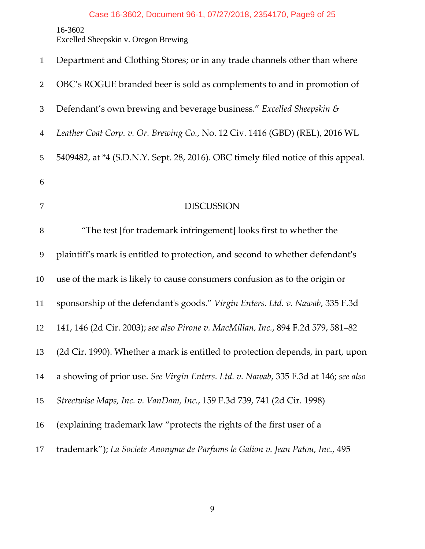16-3602 Excelled Sheepskin v. Oregon Brewing

| $\mathbf{1}$   | Department and Clothing Stores; or in any trade channels other than where           |
|----------------|-------------------------------------------------------------------------------------|
| $\overline{2}$ | OBC's ROGUE branded beer is sold as complements to and in promotion of              |
| 3              | Defendant's own brewing and beverage business." Excelled Sheepskin &                |
| $\overline{4}$ | Leather Coat Corp. v. Or. Brewing Co., No. 12 Civ. 1416 (GBD) (REL), 2016 WL        |
| 5              | 5409482, at *4 (S.D.N.Y. Sept. 28, 2016). OBC timely filed notice of this appeal.   |
| 6              |                                                                                     |
| 7              | <b>DISCUSSION</b>                                                                   |
| $8\,$          | "The test [for trademark infringement] looks first to whether the                   |
| 9              | plaintiff's mark is entitled to protection, and second to whether defendant's       |
| 10             | use of the mark is likely to cause consumers confusion as to the origin or          |
| 11             | sponsorship of the defendant's goods." Virgin Enters. Ltd. v. Nawab, 335 F.3d       |
| 12             | 141, 146 (2d Cir. 2003); see also Pirone v. MacMillan, Inc., 894 F.2d 579, 581-82   |
| 13             | (2d Cir. 1990). Whether a mark is entitled to protection depends, in part, upon     |
| 14             | a showing of prior use. See Virgin Enters. Ltd. v. Nawab, 335 F.3d at 146; see also |
| 15             | Streetwise Maps, Inc. v. VanDam, Inc., 159 F.3d 739, 741 (2d Cir. 1998)             |
| 16             | (explaining trademark law "protects the rights of the first user of a               |
| 17             | trademark"); La Societe Anonyme de Parfums le Galion v. Jean Patou, Inc., 495       |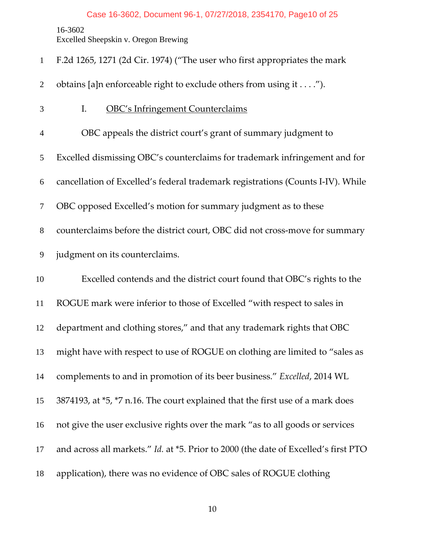Excelled Sheepskin v. Oregon Brewing

F.2d 1265, 1271 (2d Cir. 1974) ("The user who first appropriates the mark

2 obtains [a]n enforceable right to exclude others from using it . . . .").

I. OBC's Infringement Counterclaims OBC appeals the district court's grant of summary judgment to Excelled dismissing OBC's counterclaims for trademark infringement and for cancellation of Excelled's federal trademark registrations (Counts I‐IV). While OBC opposed Excelled's motion for summary judgment as to these 8 counterclaims before the district court, OBC did not cross-move for summary judgment on its counterclaims. Excelled contends and the district court found that OBC's rights to the ROGUE mark were inferior to those of Excelled "with respect to sales in department and clothing stores," and that any trademark rights that OBC might have with respect to use of ROGUE on clothing are limited to "sales as complements to and in promotion of its beer business." *Excelled*, 2014 WL 3874193, at \*5, \*7 n.16. The court explained that the first use of a mark does not give the user exclusive rights over the mark "as to all goods or services and across all markets." *Id.* at \*5. Prior to 2000 (the date of Excelled's first PTO application), there was no evidence of OBC sales of ROGUE clothing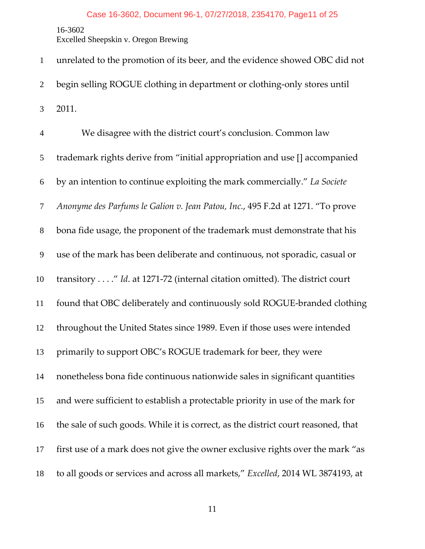Excelled Sheepskin v. Oregon Brewing

unrelated to the promotion of its beer, and the evidence showed OBC did not begin selling ROGUE clothing in department or clothing‐only stores until 2011. We disagree with the district court's conclusion. Common law trademark rights derive from "initial appropriation and use [] accompanied by an intention to continue exploiting the mark commercially." *La Societe Anonyme des Parfums le Galion v. Jean Patou, Inc.*, 495 F.2d at 1271. "To prove bona fide usage, the proponent of the trademark must demonstrate that his use of the mark has been deliberate and continuous, not sporadic, casual or transitory . . . ." *Id*. at 1271‐72 (internal citation omitted). The district court found that OBC deliberately and continuously sold ROGUE‐branded clothing throughout the United States since 1989. Even if those uses were intended primarily to support OBC's ROGUE trademark for beer, they were nonetheless bona fide continuous nationwide sales in significant quantities and were sufficient to establish a protectable priority in use of the mark for the sale of such goods. While it is correct, as the district court reasoned, that first use of a mark does not give the owner exclusive rights over the mark "as to all goods or services and across all markets," *Excelled*, 2014 WL 3874193, at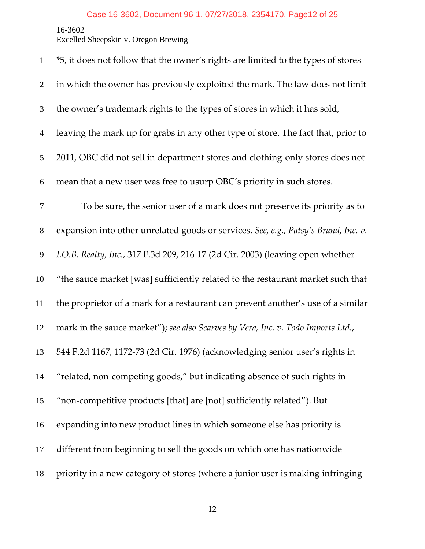Excelled Sheepskin v. Oregon Brewing

| $\mathbf{1}$   | *5, it does not follow that the owner's rights are limited to the types of stores   |
|----------------|-------------------------------------------------------------------------------------|
| $\overline{2}$ | in which the owner has previously exploited the mark. The law does not limit        |
| 3              | the owner's trademark rights to the types of stores in which it has sold,           |
| $\overline{4}$ | leaving the mark up for grabs in any other type of store. The fact that, prior to   |
| 5              | 2011, OBC did not sell in department stores and clothing-only stores does not       |
| 6              | mean that a new user was free to usurp OBC's priority in such stores.               |
| 7              | To be sure, the senior user of a mark does not preserve its priority as to          |
| $8\phantom{1}$ | expansion into other unrelated goods or services. See, e.g., Patsy's Brand, Inc. v. |
| 9              | I.O.B. Realty, Inc., 317 F.3d 209, 216-17 (2d Cir. 2003) (leaving open whether      |
| 10             | "the sauce market [was] sufficiently related to the restaurant market such that     |
| 11             | the proprietor of a mark for a restaurant can prevent another's use of a similar    |
| 12             | mark in the sauce market"); see also Scarves by Vera, Inc. v. Todo Imports Ltd.,    |
| 13             | 544 F.2d 1167, 1172-73 (2d Cir. 1976) (acknowledging senior user's rights in        |
| 14             | "related, non-competing goods," but indicating absence of such rights in            |
| 15             | "non-competitive products [that] are [not] sufficiently related"). But              |
| 16             | expanding into new product lines in which someone else has priority is              |
| 17             | different from beginning to sell the goods on which one has nationwide              |
| 18             | priority in a new category of stores (where a junior user is making infringing      |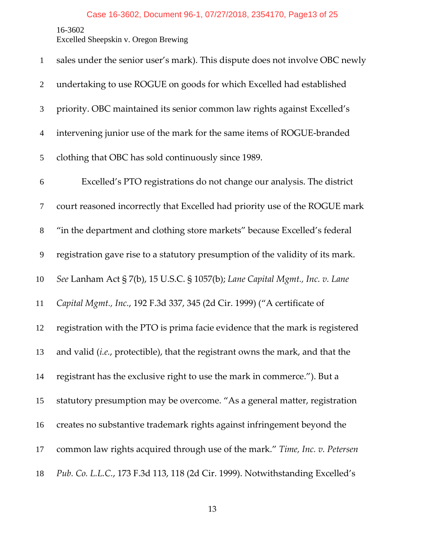Excelled Sheepskin v. Oregon Brewing

| $\mathbf{1}$   | sales under the senior user's mark). This dispute does not involve OBC newly   |
|----------------|--------------------------------------------------------------------------------|
| $\overline{2}$ | undertaking to use ROGUE on goods for which Excelled had established           |
| 3              | priority. OBC maintained its senior common law rights against Excelled's       |
| $\overline{4}$ | intervening junior use of the mark for the same items of ROGUE-branded         |
| 5              | clothing that OBC has sold continuously since 1989.                            |
| 6              | Excelled's PTO registrations do not change our analysis. The district          |
| $\tau$         | court reasoned incorrectly that Excelled had priority use of the ROGUE mark    |
| $8\,$          | "in the department and clothing store markets" because Excelled's federal      |
| 9              | registration gave rise to a statutory presumption of the validity of its mark. |
| 10             | See Lanham Act § 7(b), 15 U.S.C. § 1057(b); Lane Capital Mgmt., Inc. v. Lane   |
| 11             | Capital Mgmt., Inc., 192 F.3d 337, 345 (2d Cir. 1999) ("A certificate of       |
| 12             | registration with the PTO is prima facie evidence that the mark is registered  |
| 13             | and valid (i.e., protectible), that the registrant owns the mark, and that the |
| 14             | registrant has the exclusive right to use the mark in commerce."). But a       |
| 15             | statutory presumption may be overcome. "As a general matter, registration      |
| 16             | creates no substantive trademark rights against infringement beyond the        |
| 17             | common law rights acquired through use of the mark." Time, Inc. v. Petersen    |
| 18             | Pub. Co. L.L.C., 173 F.3d 113, 118 (2d Cir. 1999). Notwithstanding Excelled's  |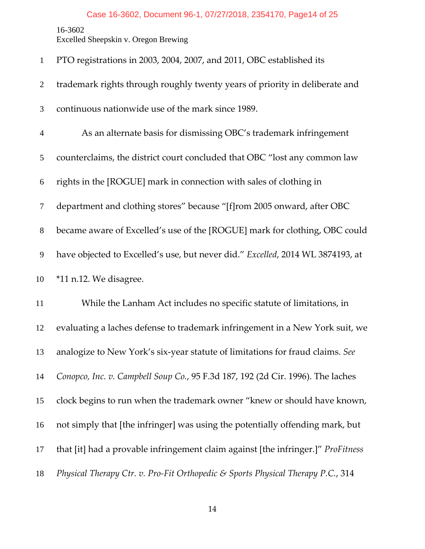# Case 16-3602, Document 96-1, 07/27/2018, 2354170, Page14 of 25

16-3602

Excelled Sheepskin v. Oregon Brewing

| $\mathbf{1}$   | PTO registrations in 2003, 2004, 2007, and 2011, OBC established its             |
|----------------|----------------------------------------------------------------------------------|
| $\overline{2}$ | trademark rights through roughly twenty years of priority in deliberate and      |
| 3              | continuous nationwide use of the mark since 1989.                                |
| $\overline{4}$ | As an alternate basis for dismissing OBC's trademark infringement                |
| 5              | counterclaims, the district court concluded that OBC "lost any common law        |
| 6              | rights in the [ROGUE] mark in connection with sales of clothing in               |
| $\tau$         | department and clothing stores" because "[f]rom 2005 onward, after OBC           |
| $8\phantom{.}$ | became aware of Excelled's use of the [ROGUE] mark for clothing, OBC could       |
| 9              | have objected to Excelled's use, but never did." Excelled, 2014 WL 3874193, at   |
|                |                                                                                  |
| 10             | *11 n.12. We disagree.                                                           |
| 11             | While the Lanham Act includes no specific statute of limitations, in             |
| 12             | evaluating a laches defense to trademark infringement in a New York suit, we     |
| 13             | analogize to New York's six-year statute of limitations for fraud claims. See    |
| 14             | Conopco, Inc. v. Campbell Soup Co., 95 F.3d 187, 192 (2d Cir. 1996). The laches  |
| 15             | clock begins to run when the trademark owner "knew or should have known,         |
| 16             | not simply that [the infringer] was using the potentially offending mark, but    |
| 17             | that [it] had a provable infringement claim against [the infringer.]" ProFitness |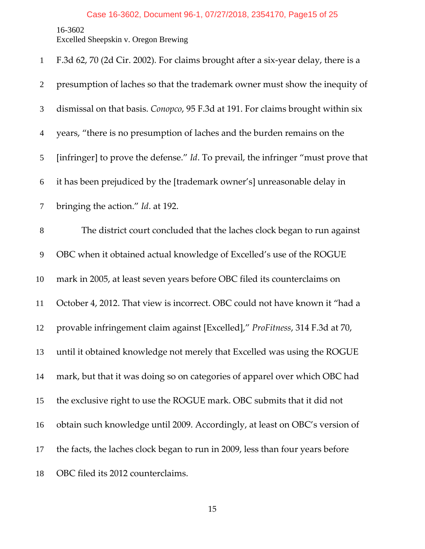Excelled Sheepskin v. Oregon Brewing

| $\mathbf{1}$   | F.3d 62, 70 (2d Cir. 2002). For claims brought after a six-year delay, there is a |
|----------------|-----------------------------------------------------------------------------------|
| $\overline{2}$ | presumption of laches so that the trademark owner must show the inequity of       |
| 3              | dismissal on that basis. Conopco, 95 F.3d at 191. For claims brought within six   |
| $\overline{4}$ | years, "there is no presumption of laches and the burden remains on the           |
| 5              | [infringer] to prove the defense." Id. To prevail, the infringer "must prove that |
| 6              | it has been prejudiced by the [trademark owner's] unreasonable delay in           |
| $\tau$         | bringing the action." Id. at 192.                                                 |
| $8\,$          | The district court concluded that the laches clock began to run against           |
| 9              | OBC when it obtained actual knowledge of Excelled's use of the ROGUE              |
| 10             | mark in 2005, at least seven years before OBC filed its counterclaims on          |
| 11             | October 4, 2012. That view is incorrect. OBC could not have known it "had a       |
| 12             | provable infringement claim against [Excelled]," ProFitness, 314 F.3d at 70,      |
| 13             | until it obtained knowledge not merely that Excelled was using the ROGUE          |
| 14             | mark, but that it was doing so on categories of apparel over which OBC had        |
| 15             | the exclusive right to use the ROGUE mark. OBC submits that it did not            |
| 16             | obtain such knowledge until 2009. Accordingly, at least on OBC's version of       |
| 17             | the facts, the laches clock began to run in 2009, less than four years before     |
| 18             | OBC filed its 2012 counterclaims.                                                 |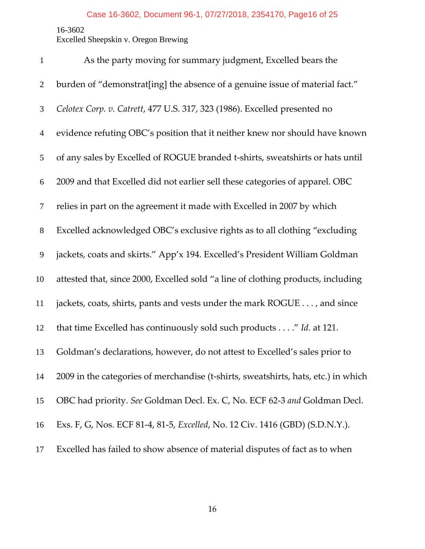Excelled Sheepskin v. Oregon Brewing

| $\mathbf{1}$   | As the party moving for summary judgment, Excelled bears the                       |
|----------------|------------------------------------------------------------------------------------|
| $\overline{2}$ | burden of "demonstrat[ing] the absence of a genuine issue of material fact."       |
| 3              | Celotex Corp. v. Catrett, 477 U.S. 317, 323 (1986). Excelled presented no          |
| $\overline{4}$ | evidence refuting OBC's position that it neither knew nor should have known        |
| 5              | of any sales by Excelled of ROGUE branded t-shirts, sweatshirts or hats until      |
| 6              | 2009 and that Excelled did not earlier sell these categories of apparel. OBC       |
| $\overline{7}$ | relies in part on the agreement it made with Excelled in 2007 by which             |
| $\,8\,$        | Excelled acknowledged OBC's exclusive rights as to all clothing "excluding         |
| 9              | jackets, coats and skirts." App'x 194. Excelled's President William Goldman        |
| 10             | attested that, since 2000, Excelled sold "a line of clothing products, including   |
| 11             | jackets, coats, shirts, pants and vests under the mark ROGUE , and since           |
| 12             | that time Excelled has continuously sold such products" Id. at 121.                |
| 13             | Goldman's declarations, however, do not attest to Excelled's sales prior to        |
| 14             | 2009 in the categories of merchandise (t-shirts, sweatshirts, hats, etc.) in which |
| 15             | OBC had priority. See Goldman Decl. Ex. C, No. ECF 62-3 and Goldman Decl.          |
| 16             | Exs. F, G, Nos. ECF 81-4, 81-5, Excelled, No. 12 Civ. 1416 (GBD) (S.D.N.Y.).       |
| 17             | Excelled has failed to show absence of material disputes of fact as to when        |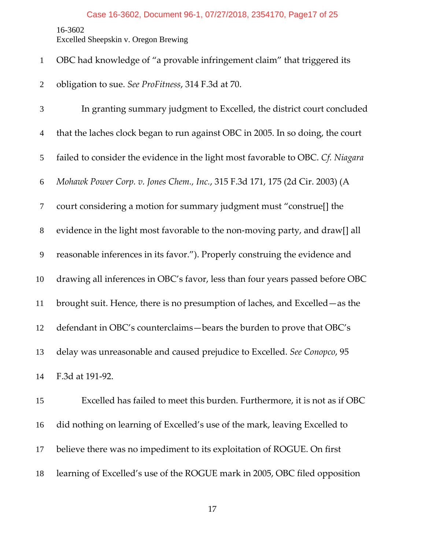Excelled Sheepskin v. Oregon Brewing

|  |  | OBC had knowledge of "a provable infringement claim" that triggered its |  |  |  |
|--|--|-------------------------------------------------------------------------|--|--|--|
|--|--|-------------------------------------------------------------------------|--|--|--|

obligation to sue. *See ProFitness*, 314 F.3d at 70.

In granting summary judgment to Excelled, the district court concluded that the laches clock began to run against OBC in 2005. In so doing, the court failed to consider the evidence in the light most favorable to OBC. *Cf. Niagara Mohawk Power Corp. v. Jones Chem., Inc.*, 315 F.3d 171, 175 (2d Cir. 2003) (A court considering a motion for summary judgment must "construe[] the evidence in the light most favorable to the non‐moving party, and draw[] all reasonable inferences in its favor."). Properly construing the evidence and drawing all inferences in OBC's favor, less than four years passed before OBC brought suit. Hence, there is no presumption of laches, and Excelled—as the defendant in OBC's counterclaims—bears the burden to prove that OBC's delay was unreasonable and caused prejudice to Excelled. *See Conopco*, 95 F.3d at 191‐92.

Excelled has failed to meet this burden. Furthermore, it is not as if OBC did nothing on learning of Excelled's use of the mark, leaving Excelled to believe there was no impediment to its exploitation of ROGUE. On first learning of Excelled's use of the ROGUE mark in 2005, OBC filed opposition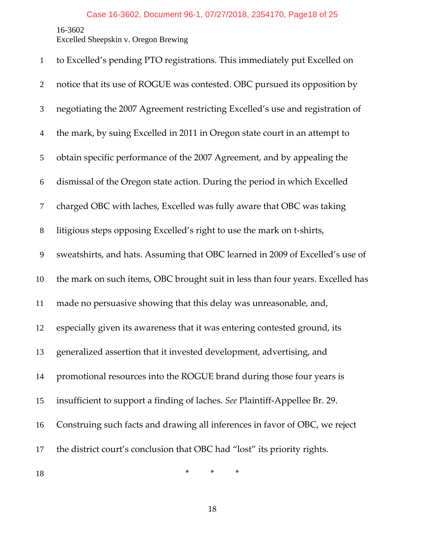Excelled Sheepskin v. Oregon Brewing

| $\mathbf{1}$   | to Excelled's pending PTO registrations. This immediately put Excelled on      |
|----------------|--------------------------------------------------------------------------------|
| $\overline{2}$ | notice that its use of ROGUE was contested. OBC pursued its opposition by      |
| 3              | negotiating the 2007 Agreement restricting Excelled's use and registration of  |
| $\overline{4}$ | the mark, by suing Excelled in 2011 in Oregon state court in an attempt to     |
| 5              | obtain specific performance of the 2007 Agreement, and by appealing the        |
| 6              | dismissal of the Oregon state action. During the period in which Excelled      |
| $\tau$         | charged OBC with laches, Excelled was fully aware that OBC was taking          |
| $\,8\,$        | litigious steps opposing Excelled's right to use the mark on t-shirts,         |
| 9              | sweatshirts, and hats. Assuming that OBC learned in 2009 of Excelled's use of  |
| 10             | the mark on such items, OBC brought suit in less than four years. Excelled has |
| 11             | made no persuasive showing that this delay was unreasonable, and,              |
| 12             | especially given its awareness that it was entering contested ground, its      |
| 13             | generalized assertion that it invested development, advertising, and           |
| 14             | promotional resources into the ROGUE brand during those four years is          |
| 15             | insufficient to support a finding of laches. See Plaintiff-Appellee Br. 29.    |
| 16             | Construing such facts and drawing all inferences in favor of OBC, we reject    |
| 17             | the district court's conclusion that OBC had "lost" its priority rights.       |
| 18             | *<br>*<br>∗                                                                    |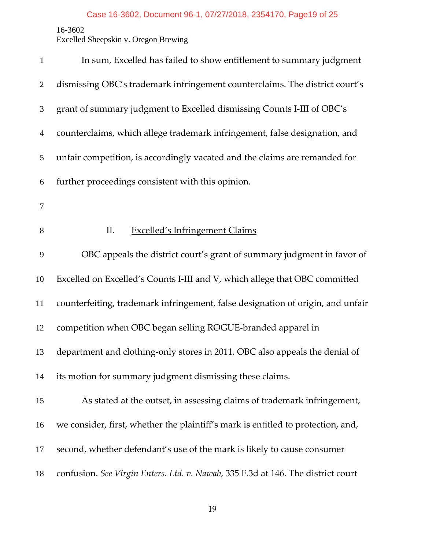Excelled Sheepskin v. Oregon Brewing

| $\mathbf{1}$   | In sum, Excelled has failed to show entitlement to summary judgment              |
|----------------|----------------------------------------------------------------------------------|
| $\overline{2}$ | dismissing OBC's trademark infringement counterclaims. The district court's      |
| 3              | grant of summary judgment to Excelled dismissing Counts I-III of OBC's           |
| $\overline{4}$ | counterclaims, which allege trademark infringement, false designation, and       |
| 5              | unfair competition, is accordingly vacated and the claims are remanded for       |
| 6              | further proceedings consistent with this opinion.                                |
| $\tau$         |                                                                                  |
| 8              | II.<br><b>Excelled's Infringement Claims</b>                                     |
| 9              | OBC appeals the district court's grant of summary judgment in favor of           |
| 10             | Excelled on Excelled's Counts I-III and V, which allege that OBC committed       |
| 11             | counterfeiting, trademark infringement, false designation of origin, and unfair  |
| 12             | competition when OBC began selling ROGUE-branded apparel in                      |
| 13             | department and clothing-only stores in 2011. OBC also appeals the denial of      |
| 14             | its motion for summary judgment dismissing these claims.                         |
| 15             | As stated at the outset, in assessing claims of trademark infringement,          |
| 16             | we consider, first, whether the plaintiff's mark is entitled to protection, and, |
| 17             | second, whether defendant's use of the mark is likely to cause consumer          |
| 18             | confusion. See Virgin Enters. Ltd. v. Nawab, 335 F.3d at 146. The district court |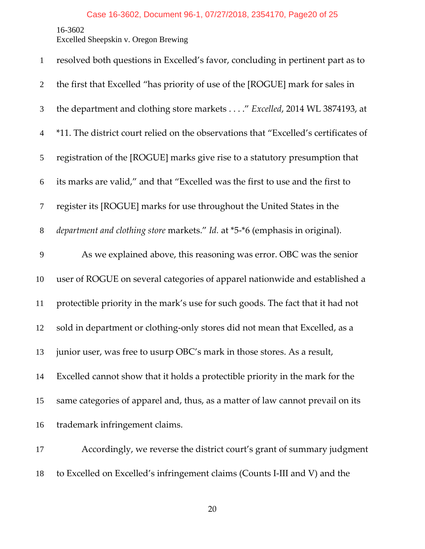Excelled Sheepskin v. Oregon Brewing

| $\mathbf{1}$   | resolved both questions in Excelled's favor, concluding in pertinent part as to     |
|----------------|-------------------------------------------------------------------------------------|
| $\overline{2}$ | the first that Excelled "has priority of use of the [ROGUE] mark for sales in       |
| 3              | the department and clothing store markets" Excelled, 2014 WL 3874193, at            |
| $\overline{4}$ | *11. The district court relied on the observations that "Excelled's certificates of |
| 5              | registration of the [ROGUE] marks give rise to a statutory presumption that         |
| 6              | its marks are valid," and that "Excelled was the first to use and the first to      |
| $\tau$         | register its [ROGUE] marks for use throughout the United States in the              |
| $8\,$          | department and clothing store markets." Id. at *5-*6 (emphasis in original).        |
| 9              | As we explained above, this reasoning was error. OBC was the senior                 |
| 10             | user of ROGUE on several categories of apparel nationwide and established a         |
| 11             | protectible priority in the mark's use for such goods. The fact that it had not     |
| 12             | sold in department or clothing-only stores did not mean that Excelled, as a         |
| 13             | junior user, was free to usurp OBC's mark in those stores. As a result,             |
| 14             | Excelled cannot show that it holds a protectible priority in the mark for the       |
| 15             | same categories of apparel and, thus, as a matter of law cannot prevail on its      |
| 16             | trademark infringement claims.                                                      |
| 17             | Accordingly, we reverse the district court's grant of summary judgment              |

18 to Excelled on Excelled's infringement claims (Counts I-III and V) and the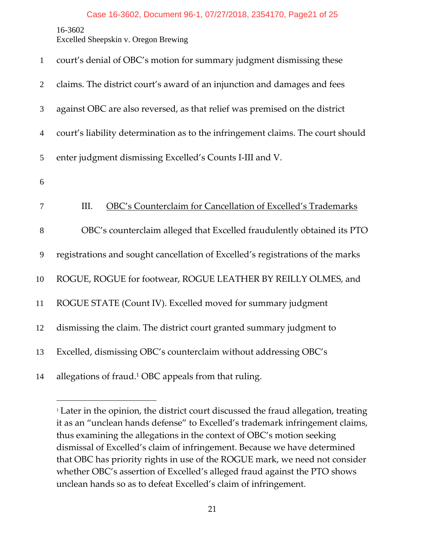<u>.</u>

Excelled Sheepskin v. Oregon Brewing

| $\mathbf{1}$     | court's denial of OBC's motion for summary judgment dismissing these            |
|------------------|---------------------------------------------------------------------------------|
| $\overline{2}$   | claims. The district court's award of an injunction and damages and fees        |
| $\mathfrak{Z}$   | against OBC are also reversed, as that relief was premised on the district      |
| $\overline{4}$   | court's liability determination as to the infringement claims. The court should |
| 5                | enter judgment dismissing Excelled's Counts I-III and V.                        |
| 6                |                                                                                 |
| $\boldsymbol{7}$ | III.<br>OBC's Counterclaim for Cancellation of Excelled's Trademarks            |
| $8\,$            | OBC's counterclaim alleged that Excelled fraudulently obtained its PTO          |
| $\overline{9}$   | registrations and sought cancellation of Excelled's registrations of the marks  |
| 10               | ROGUE, ROGUE for footwear, ROGUE LEATHER BY REILLY OLMES, and                   |
| $11\,$           | ROGUE STATE (Count IV). Excelled moved for summary judgment                     |
| 12               | dismissing the claim. The district court granted summary judgment to            |
| 13               | Excelled, dismissing OBC's counterclaim without addressing OBC's                |
| 14               | allegations of fraud. <sup>1</sup> OBC appeals from that ruling.                |

<sup>&</sup>lt;sup>1</sup> Later in the opinion, the district court discussed the fraud allegation, treating it as an "unclean hands defense" to Excelled's trademark infringement claims, thus examining the allegations in the context of OBC's motion seeking dismissal of Excelled's claim of infringement. Because we have determined that OBC has priority rights in use of the ROGUE mark, we need not consider whether OBC's assertion of Excelled's alleged fraud against the PTO shows unclean hands so as to defeat Excelled's claim of infringement.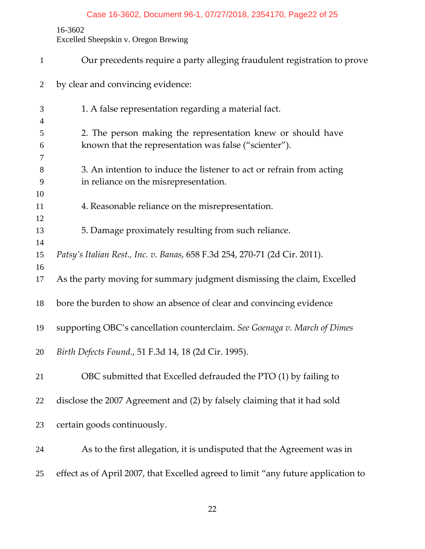## Case 16-3602, Document 96-1, 07/27/2018, 2354170, Page22 of 25

## 16-3602

Excelled Sheepskin v. Oregon Brewing

| $\mathbf{1}$   | Our precedents require a party alleging fraudulent registration to prove                                      |
|----------------|---------------------------------------------------------------------------------------------------------------|
| 2              | by clear and convincing evidence:                                                                             |
| 3              | 1. A false representation regarding a material fact.                                                          |
| $\overline{4}$ |                                                                                                               |
| 5              | 2. The person making the representation knew or should have                                                   |
| 6              | known that the representation was false ("scienter").                                                         |
| 7              |                                                                                                               |
| 8<br>9         | 3. An intention to induce the listener to act or refrain from acting<br>in reliance on the misrepresentation. |
| 10             |                                                                                                               |
| 11             | 4. Reasonable reliance on the misrepresentation.                                                              |
| 12             |                                                                                                               |
| 13             | 5. Damage proximately resulting from such reliance.                                                           |
| 14             |                                                                                                               |
| 15             | Patsy's Italian Rest., Inc. v. Banas, 658 F.3d 254, 270-71 (2d Cir. 2011).                                    |
| 16             |                                                                                                               |
| 17             | As the party moving for summary judgment dismissing the claim, Excelled                                       |
| 18             | bore the burden to show an absence of clear and convincing evidence                                           |
| 19             | supporting OBC's cancellation counterclaim. See Goenaga v. March of Dimes                                     |
| 20             | Birth Defects Found., 51 F.3d 14, 18 (2d Cir. 1995).                                                          |
| 21             | OBC submitted that Excelled defrauded the PTO (1) by failing to                                               |
| 22             | disclose the 2007 Agreement and (2) by falsely claiming that it had sold                                      |
| 23             | certain goods continuously.                                                                                   |
| 24             | As to the first allegation, it is undisputed that the Agreement was in                                        |
| 25             | effect as of April 2007, that Excelled agreed to limit "any future application to                             |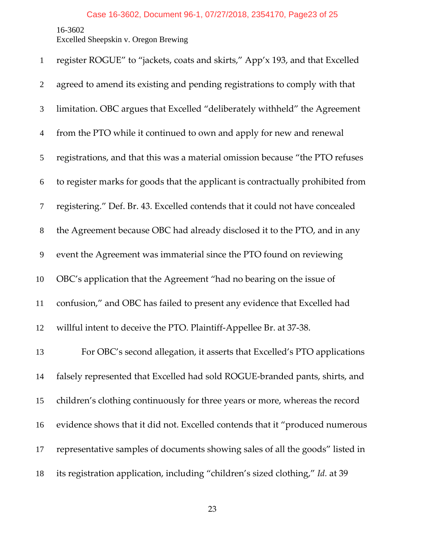Excelled Sheepskin v. Oregon Brewing

| $\mathbf{1}$     | register ROGUE" to "jackets, coats and skirts," App'x 193, and that Excelled    |
|------------------|---------------------------------------------------------------------------------|
| $\overline{2}$   | agreed to amend its existing and pending registrations to comply with that      |
| 3                | limitation. OBC argues that Excelled "deliberately withheld" the Agreement      |
| $\overline{4}$   | from the PTO while it continued to own and apply for new and renewal            |
| 5                | registrations, and that this was a material omission because "the PTO refuses   |
| 6                | to register marks for goods that the applicant is contractually prohibited from |
| $\tau$           | registering." Def. Br. 43. Excelled contends that it could not have concealed   |
| $8\,$            | the Agreement because OBC had already disclosed it to the PTO, and in any       |
| $\boldsymbol{9}$ | event the Agreement was immaterial since the PTO found on reviewing             |
| 10               | OBC's application that the Agreement "had no bearing on the issue of            |
| 11               | confusion," and OBC has failed to present any evidence that Excelled had        |
| 12               | willful intent to deceive the PTO. Plaintiff-Appellee Br. at 37-38.             |
| 13               | For OBC's second allegation, it asserts that Excelled's PTO applications        |
| 14               | falsely represented that Excelled had sold ROGUE-branded pants, shirts, and     |
| 15               | children's clothing continuously for three years or more, whereas the record    |
| 16               | evidence shows that it did not. Excelled contends that it "produced numerous    |
| 17               | representative samples of documents showing sales of all the goods" listed in   |
| 18               | its registration application, including "children's sized clothing," Id. at 39  |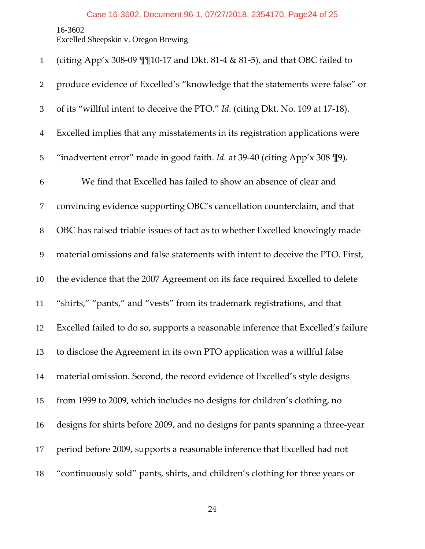## Case 16-3602, Document 96-1, 07/27/2018, 2354170, Page24 of 25

16-3602

Excelled Sheepskin v. Oregon Brewing

| $\mathbf{1}$     | (citing App'x 308-09 $\P$ $\P$ 10-17 and Dkt. 81-4 & 81-5), and that OBC failed to  |
|------------------|-------------------------------------------------------------------------------------|
| $\overline{2}$   | produce evidence of Excelled's "knowledge that the statements were false" or        |
| 3                | of its "willful intent to deceive the PTO." Id. (citing Dkt. No. 109 at 17-18).     |
| $\overline{4}$   | Excelled implies that any misstatements in its registration applications were       |
| 5                | "inadvertent error" made in good faith. Id. at 39-40 (citing App'x 308 \lightarrow. |
| 6                | We find that Excelled has failed to show an absence of clear and                    |
| $\tau$           | convincing evidence supporting OBC's cancellation counterclaim, and that            |
| $8\,$            | OBC has raised triable issues of fact as to whether Excelled knowingly made         |
| $\boldsymbol{9}$ | material omissions and false statements with intent to deceive the PTO. First,      |
| 10               | the evidence that the 2007 Agreement on its face required Excelled to delete        |
| 11               | "shirts," "pants," and "vests" from its trademark registrations, and that           |
| 12               | Excelled failed to do so, supports a reasonable inference that Excelled's failure   |
| 13               | to disclose the Agreement in its own PTO application was a willful false            |
| 14               | material omission. Second, the record evidence of Excelled's style designs          |
| 15               | from 1999 to 2009, which includes no designs for children's clothing, no            |
| 16               | designs for shirts before 2009, and no designs for pants spanning a three-year      |
| 17               | period before 2009, supports a reasonable inference that Excelled had not           |
| 18               | "continuously sold" pants, shirts, and children's clothing for three years or       |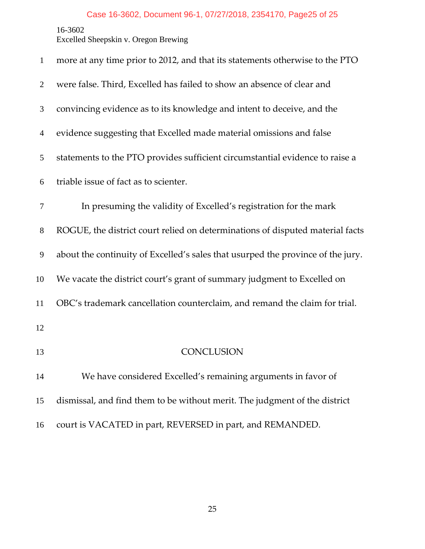Excelled Sheepskin v. Oregon Brewing

| $\mathbf{1}$   | more at any time prior to 2012, and that its statements otherwise to the PTO    |
|----------------|---------------------------------------------------------------------------------|
| $\overline{2}$ | were false. Third, Excelled has failed to show an absence of clear and          |
| 3              | convincing evidence as to its knowledge and intent to deceive, and the          |
| $\overline{4}$ | evidence suggesting that Excelled made material omissions and false             |
| 5              | statements to the PTO provides sufficient circumstantial evidence to raise a    |
| 6              | triable issue of fact as to scienter.                                           |
| 7              | In presuming the validity of Excelled's registration for the mark               |
| 8              | ROGUE, the district court relied on determinations of disputed material facts   |
| 9              | about the continuity of Excelled's sales that usurped the province of the jury. |
| 10             | We vacate the district court's grant of summary judgment to Excelled on         |
| 11             | OBC's trademark cancellation counterclaim, and remand the claim for trial.      |
| 12             |                                                                                 |
| 13             | <b>CONCLUSION</b>                                                               |
| 14             | We have considered Excelled's remaining arguments in favor of                   |
| 15             | dismissal, and find them to be without merit. The judgment of the district      |
| 16             | court is VACATED in part, REVERSED in part, and REMANDED.                       |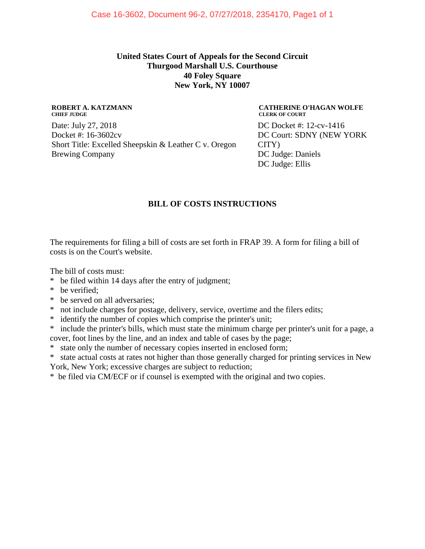### **United States Court of Appeals for the Second Circuit Thurgood Marshall U.S. Courthouse 40 Foley Square New York, NY 10007**

#### **ROBERT A. KATZMANN CHIEF JUDGE**

Date: July 27, 2018 Docket #: 16-3602cv Short Title: Excelled Sheepskin & Leather C v. Oregon Brewing Company

#### **CATHERINE O'HAGAN WOLFE CLERK OF COURT**

DC Docket #: 12-cv-1416 DC Court: SDNY (NEW YORK CITY) DC Judge: Daniels DC Judge: Ellis

### **BILL OF COSTS INSTRUCTIONS**

The requirements for filing a bill of costs are set forth in FRAP 39. A form for filing a bill of costs is on the Court's website.

The bill of costs must:

- \* be filed within 14 days after the entry of judgment;
- \* be verified;
- \* be served on all adversaries;
- \* not include charges for postage, delivery, service, overtime and the filers edits;
- \* identify the number of copies which comprise the printer's unit;
- \* include the printer's bills, which must state the minimum charge per printer's unit for a page, a cover, foot lines by the line, and an index and table of cases by the page;
- \* state only the number of necessary copies inserted in enclosed form;

\* state actual costs at rates not higher than those generally charged for printing services in New York, New York; excessive charges are subject to reduction;

\* be filed via CM/ECF or if counsel is exempted with the original and two copies.